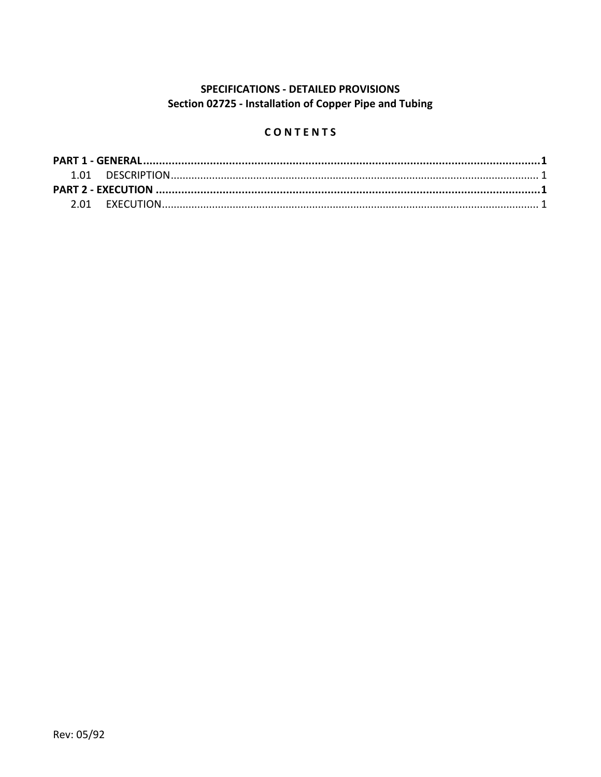## **SPECIFICATIONS - DETAILED PROVISIONS** Section 02725 - Installation of Copper Pipe and Tubing

# CONTENTS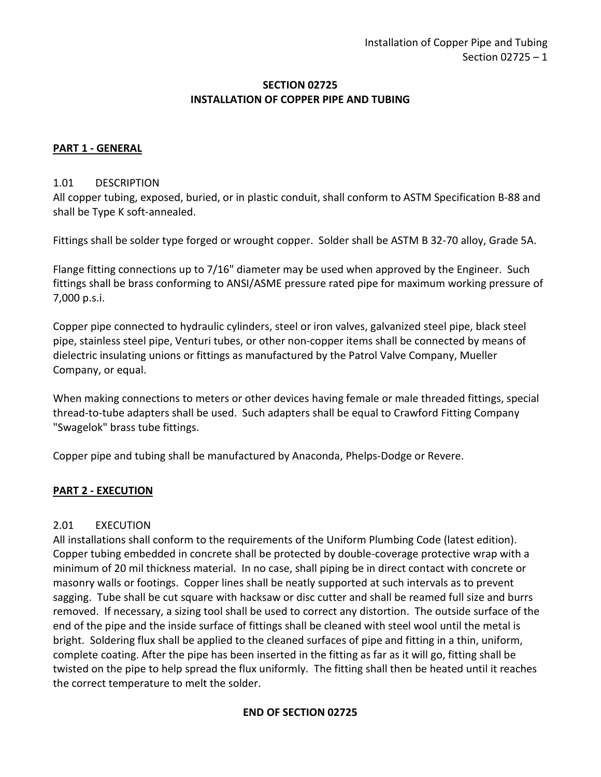### **SECTION 02725 INSTALLATION OF COPPER PIPE AND TUBING**

## <span id="page-2-0"></span>**PART 1 - GENERAL**

#### <span id="page-2-1"></span>1.01 DESCRIPTION

All copper tubing, exposed, buried, or in plastic conduit, shall conform to ASTM Specification B-88 and shall be Type K soft-annealed.

Fittings shall be solder type forged or wrought copper. Solder shall be ASTM B 32-70 alloy, Grade 5A.

Flange fitting connections up to 7/16" diameter may be used when approved by the Engineer. Such fittings shall be brass conforming to ANSI/ASME pressure rated pipe for maximum working pressure of 7,000 p.s.i.

Copper pipe connected to hydraulic cylinders, steel or iron valves, galvanized steel pipe, black steel pipe, stainless steel pipe, Venturi tubes, or other non-copper items shall be connected by means of dielectric insulating unions or fittings as manufactured by the Patrol Valve Company, Mueller Company, or equal.

When making connections to meters or other devices having female or male threaded fittings, special thread-to-tube adapters shall be used. Such adapters shall be equal to Crawford Fitting Company "Swagelok" brass tube fittings.

Copper pipe and tubing shall be manufactured by Anaconda, Phelps-Dodge or Revere.

## <span id="page-2-2"></span>**PART 2 - EXECUTION**

## <span id="page-2-3"></span>2.01 EXECUTION

All installations shall conform to the requirements of the Uniform Plumbing Code (latest edition). Copper tubing embedded in concrete shall be protected by double-coverage protective wrap with a minimum of 20 mil thickness material. In no case, shall piping be in direct contact with concrete or masonry walls or footings. Copper lines shall be neatly supported at such intervals as to prevent sagging. Tube shall be cut square with hacksaw or disc cutter and shall be reamed full size and burrs removed. If necessary, a sizing tool shall be used to correct any distortion. The outside surface of the end of the pipe and the inside surface of fittings shall be cleaned with steel wool until the metal is bright. Soldering flux shall be applied to the cleaned surfaces of pipe and fitting in a thin, uniform, complete coating. After the pipe has been inserted in the fitting as far as it will go, fitting shall be twisted on the pipe to help spread the flux uniformly. The fitting shall then be heated until it reaches the correct temperature to melt the solder.

#### **END OF SECTION 02725**